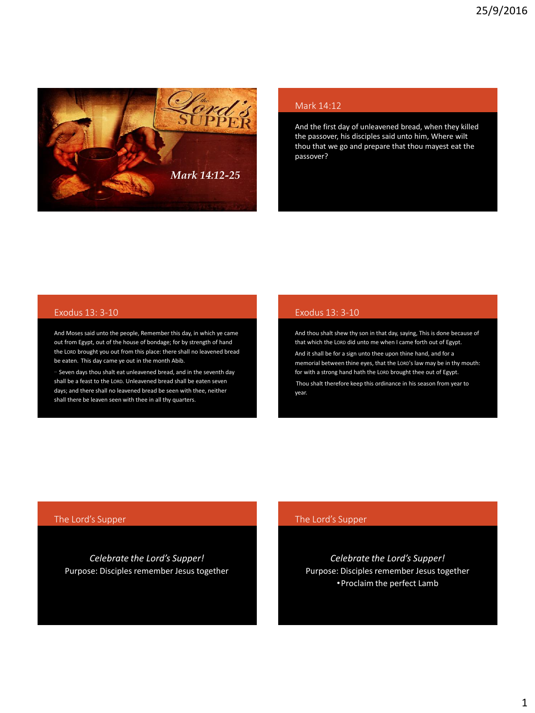

### Mark 14:12

And the first day of unleavened bread, when they killed the passover, his disciples said unto him, Where wilt thou that we go and prepare that thou mayest eat the passover?

## Exodus 13: 3-10

And Moses said unto the people, Remember this day, in which ye came out from Egypt, out of the house of bondage; for by strength of hand the LORD brought you out from this place: there shall no leavened bread be eaten. This day came ye out in the month Abib.

… Seven days thou shalt eat unleavened bread, and in the seventh day shall be a feast to the LORD. Unleavened bread shall be eaten seven days; and there shall no leavened bread be seen with thee, neither shall there be leaven seen with thee in all thy quarters.

## Exodus 13: 3-10

And thou shalt shew thy son in that day, saying, This is done because of that which the LORD did unto me when I came forth out of Egypt. And it shall be for a sign unto thee upon thine hand, and for a memorial between thine eyes, that the LORD's law may be in thy mouth: for with a strong hand hath the LORD brought thee out of Egypt. Thou shalt therefore keep this ordinance in his season from year to year.

## The Lord's Supper

*Celebrate the Lord's Supper!* Purpose: Disciples remember Jesus together

## The Lord's Supper

*Celebrate the Lord's Supper!* Purpose: Disciples remember Jesus together •Proclaim the perfect Lamb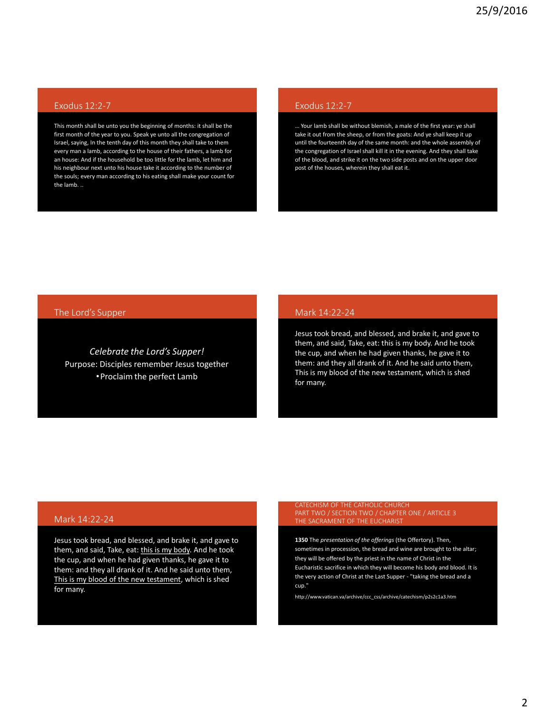# Exodus 12:2-7

This month shall be unto you the beginning of months: it shall be the first month of the year to you. Speak ye unto all the congregation of Israel, saying, In the tenth day of this month they shall take to them every man a lamb, according to the house of their fathers, a lamb for an house: And if the household be too little for the lamb, let him and his neighbour next unto his house take it according to the number of the souls; every man according to his eating shall make your count for the lamb. ..

# Exodus 12:2-7

… Your lamb shall be without blemish, a male of the first year: ye shall take it out from the sheep, or from the goats: And ye shall keep it up until the fourteenth day of the same month: and the whole assembly of the congregation of Israel shall kill it in the evening. And they shall take of the blood, and strike it on the two side posts and on the upper door post of the houses, wherein they shall eat it.

### The Lord's Supper

*Celebrate the Lord's Supper!* Purpose: Disciples remember Jesus together •Proclaim the perfect Lamb

### Mark 14:22-24

Jesus took bread, and blessed, and brake it, and gave to them, and said, Take, eat: this is my body. And he took the cup, and when he had given thanks, he gave it to them: and they all drank of it. And he said unto them, This is my blood of the new testament, which is shed for many.

### Mark 14:22-24

Jesus took bread, and blessed, and brake it, and gave to them, and said, Take, eat: this is my body. And he took the cup, and when he had given thanks, he gave it to them: and they all drank of it. And he said unto them, This is my blood of the new testament, which is shed for many.

# CATECHISM OF THE CATHOLIC CHURCH THE SACRAMENT OF THE EUCHARIST

**1350** The *presentation of the offerings* (the Offertory). Then, sometimes in procession, the bread and wine are brought to the altar; they will be offered by the priest in the name of Christ in the Eucharistic sacrifice in which they will become his body and blood. It is the very action of Christ at the Last Supper - "taking the bread and a cup."

http://www.vatican.va/archive/ccc\_css/archive/catechism/p2s2c1a3.htm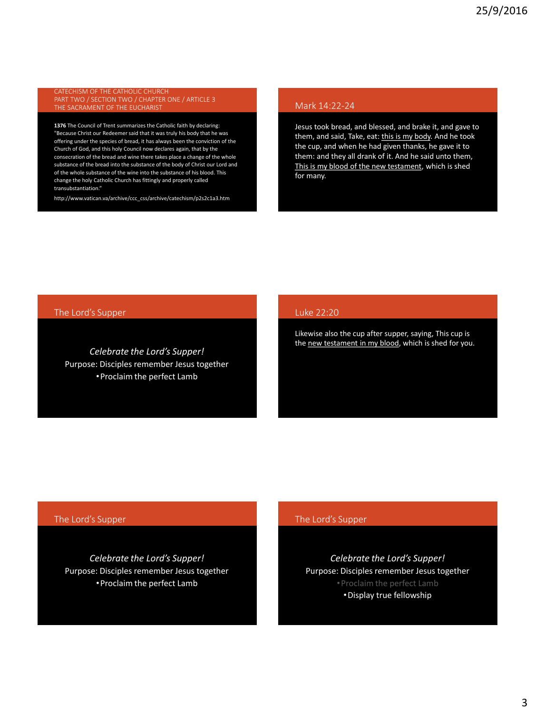CATECHISM OF THE CATHOLIC CHURCH THE SACRAMENT OF THE EUCHARIST

**1376** The Council of Trent summarizes the Catholic faith by declaring: "Because Christ our Redeemer said that it was truly his body that he was offering under the species of bread, it has always been the conviction of the Church of God, and this holy Council now declares again, that by the consecration of the bread and wine there takes place a change of the whole substance of the bread into the substance of the body of Christ our Lord and of the whole substance of the wine into the substance of his blood. This change the holy Catholic Church has fittingly and properly called transubstantiation."

http://www.vatican.va/archive/ccc\_css/archive/catechism/p2s2c1a3.htm

## Mark 14:22-24

Jesus took bread, and blessed, and brake it, and gave to them, and said, Take, eat: this is my body. And he took the cup, and when he had given thanks, he gave it to them: and they all drank of it. And he said unto them, This is my blood of the new testament, which is shed for many.

The Lord's Supper

*Celebrate the Lord's Supper!* Purpose: Disciples remember Jesus together •Proclaim the perfect Lamb

### Luke 22:20

Likewise also the cup after supper, saying, This cup is the new testament in my blood, which is shed for you.

### The Lord's Supper

*Celebrate the Lord's Supper!* Purpose: Disciples remember Jesus together •Proclaim the perfect Lamb

## The Lord's Supper

*Celebrate the Lord's Supper!* Purpose: Disciples remember Jesus together •Proclaim the perfect Lamb •Display true fellowship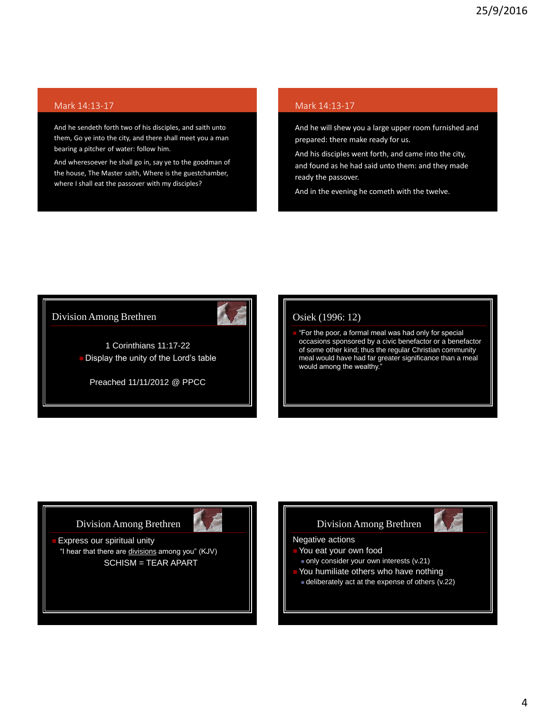# Mark 14:13-17

And he sendeth forth two of his disciples, and saith unto them, Go ye into the city, and there shall meet you a man bearing a pitcher of water: follow him.

And wheresoever he shall go in, say ye to the goodman of the house, The Master saith, Where is the guestchamber, where I shall eat the passover with my disciples?

## Mark 14:13-17

And he will shew you a large upper room furnished and prepared: there make ready for us.

And his disciples went forth, and came into the city, and found as he had said unto them: and they made ready the passover.

And in the evening he cometh with the twelve.



# Osiek (1996: 12)

 "For the poor, a formal meal was had only for special occasions sponsored by a civic benefactor or a benefactor of some other kind; thus the regular Christian community meal would have had far greater significance than a meal would among the wealthy."

# Division Among Brethren



 Express our spiritual unity "I hear that there are divisions among you" (KJV) SCHISM = TEAR APART

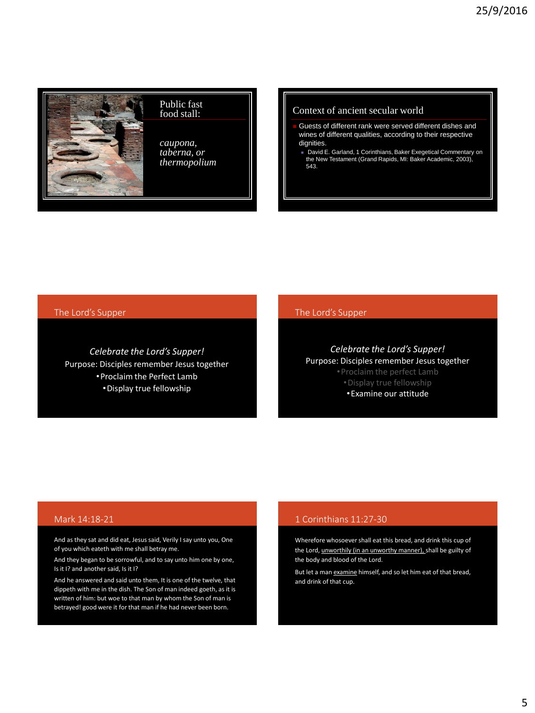

#### Public fast food stall:

*caupona, taberna, or thermopolium*

### Context of ancient secular world

- Guests of different rank were served different dishes and wines of different qualities, according to their respective dignities.
	- David E. Garland, 1 Corinthians, Baker Exegetical Commentary on the New Testament (Grand Rapids, MI: Baker Academic, 2003), 543.

## The Lord's Supper

*Celebrate the Lord's Supper!* Purpose: Disciples remember Jesus together •Proclaim the Perfect Lamb

•Display true fellowship

# The Lord's Supper

*Celebrate the Lord's Supper!* Purpose: Disciples remember Jesus together •Display true fellowship •Examine our attitude

### Mark 14:18-21

And as they sat and did eat, Jesus said, Verily I say unto you, One of you which eateth with me shall betray me.

And they began to be sorrowful, and to say unto him one by one, Is it I? and another said, Is it I?

And he answered and said unto them, It is one of the twelve, that dippeth with me in the dish. The Son of man indeed goeth, as it is written of him: but woe to that man by whom the Son of man is betrayed! good were it for that man if he had never been born.

### 1 Corinthians 11:27-30

Wherefore whosoever shall eat this bread, and drink this cup of the Lord, unworthily (in an unworthy manner), shall be guilty of the body and blood of the Lord.

But let a man examine himself, and so let him eat of that bread, and drink of that cup.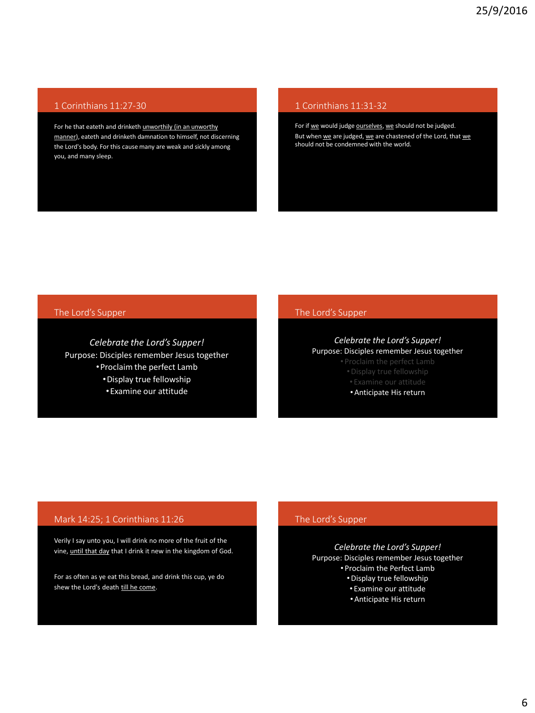# 1 Corinthians 11:27-30

For he that eateth and drinketh unworthily (in an unworthy manner), eateth and drinketh damnation to himself, not discerning the Lord's body. For this cause many are weak and sickly among you, and many sleep.

# 1 Corinthians 11:31-32

For if we would judge ourselves, we should not be judged. But when we are judged, we are chastened of the Lord, that we should not be condemned with the world.

## The Lord's Supper

*Celebrate the Lord's Supper!* Purpose: Disciples remember Jesus together •Proclaim the perfect Lamb •Display true fellowship

•Examine our attitude

## The Lord's Supper

*Celebrate the Lord's Supper!* Purpose: Disciples remember Jesus together

• Proclaim the perfect Lamb

•Anticipate His return

# Mark 14:25; 1 Corinthians 11:26

Verily I say unto you, I will drink no more of the fruit of the vine, until that day that I drink it new in the kingdom of God.

For as often as ye eat this bread, and drink this cup, ye do shew the Lord's death till he come.

## The Lord's Supper

*Celebrate the Lord's Supper!* Purpose: Disciples remember Jesus together • Proclaim the Perfect Lamb •Display true fellowship • Examine our attitude

•Anticipate His return